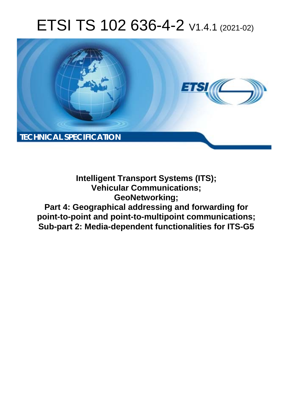# ETSI TS 102 636-4-2 V1.4.1 (2021-02)



**Intelligent Transport Systems (ITS); Vehicular Communications; GeoNetworking; Part 4: Geographical addressing and forwarding for point-to-point and point-to-multipoint communications; Sub-part 2: Media-dependent functionalities for ITS-G5**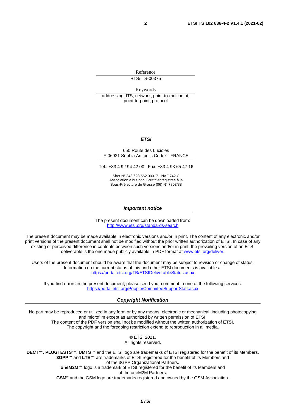Reference

RTS/ITS-00375

Keywords

addressing, ITS, network, point-to-multipoint, point-to-point, protocol

#### *ETSI*

#### 650 Route des Lucioles F-06921 Sophia Antipolis Cedex - FRANCE

Tel.: +33 4 92 94 42 00 Fax: +33 4 93 65 47 16

Siret N° 348 623 562 00017 - NAF 742 C Association à but non lucratif enregistrée à la Sous-Préfecture de Grasse (06) N° 7803/88

#### *Important notice*

The present document can be downloaded from: <http://www.etsi.org/standards-search>

The present document may be made available in electronic versions and/or in print. The content of any electronic and/or print versions of the present document shall not be modified without the prior written authorization of ETSI. In case of any existing or perceived difference in contents between such versions and/or in print, the prevailing version of an ETSI deliverable is the one made publicly available in PDF format at [www.etsi.org/deliver](http://www.etsi.org/deliver).

Users of the present document should be aware that the document may be subject to revision or change of status. Information on the current status of this and other ETSI documents is available at <https://portal.etsi.org/TB/ETSIDeliverableStatus.aspx>

If you find errors in the present document, please send your comment to one of the following services: <https://portal.etsi.org/People/CommiteeSupportStaff.aspx>

#### *Copyright Notification*

No part may be reproduced or utilized in any form or by any means, electronic or mechanical, including photocopying and microfilm except as authorized by written permission of ETSI. The content of the PDF version shall not be modified without the written authorization of ETSI. The copyright and the foregoing restriction extend to reproduction in all media.

> © ETSI 2021. All rights reserved.

**DECT™**, **PLUGTESTS™**, **UMTS™** and the ETSI logo are trademarks of ETSI registered for the benefit of its Members. **3GPP™** and **LTE™** are trademarks of ETSI registered for the benefit of its Members and of the 3GPP Organizational Partners. **oneM2M™** logo is a trademark of ETSI registered for the benefit of its Members and of the oneM2M Partners. **GSM®** and the GSM logo are trademarks registered and owned by the GSM Association.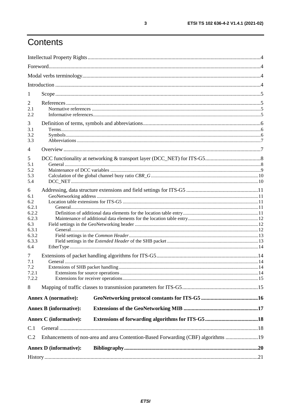## Contents

| 1              |                               |                                                                                   |  |  |  |  |  |  |  |
|----------------|-------------------------------|-----------------------------------------------------------------------------------|--|--|--|--|--|--|--|
| 2              |                               |                                                                                   |  |  |  |  |  |  |  |
| 2.1<br>2.2     |                               |                                                                                   |  |  |  |  |  |  |  |
| 3              |                               |                                                                                   |  |  |  |  |  |  |  |
| 3.1<br>3.2     |                               |                                                                                   |  |  |  |  |  |  |  |
| 3.3            |                               |                                                                                   |  |  |  |  |  |  |  |
| 4              |                               |                                                                                   |  |  |  |  |  |  |  |
| 5              |                               |                                                                                   |  |  |  |  |  |  |  |
| 5.1<br>5.2     |                               |                                                                                   |  |  |  |  |  |  |  |
| 5.3            |                               |                                                                                   |  |  |  |  |  |  |  |
| 5.4            |                               |                                                                                   |  |  |  |  |  |  |  |
| 6              |                               |                                                                                   |  |  |  |  |  |  |  |
| 6.1            |                               |                                                                                   |  |  |  |  |  |  |  |
| 6.2<br>6.2.1   |                               |                                                                                   |  |  |  |  |  |  |  |
| 6.2.2          |                               |                                                                                   |  |  |  |  |  |  |  |
| 6.2.3          |                               |                                                                                   |  |  |  |  |  |  |  |
| 6.3            |                               |                                                                                   |  |  |  |  |  |  |  |
| 6.3.1<br>6.3.2 |                               |                                                                                   |  |  |  |  |  |  |  |
| 6.3.3          |                               |                                                                                   |  |  |  |  |  |  |  |
| 6.4            |                               |                                                                                   |  |  |  |  |  |  |  |
| $\tau$         |                               |                                                                                   |  |  |  |  |  |  |  |
| 7.1            |                               |                                                                                   |  |  |  |  |  |  |  |
| 7.2            |                               |                                                                                   |  |  |  |  |  |  |  |
| 7.2.1<br>7.2.2 |                               |                                                                                   |  |  |  |  |  |  |  |
| 8              |                               |                                                                                   |  |  |  |  |  |  |  |
|                | <b>Annex A (normative):</b>   |                                                                                   |  |  |  |  |  |  |  |
|                | <b>Annex B</b> (informative): |                                                                                   |  |  |  |  |  |  |  |
|                | <b>Annex C</b> (informative): |                                                                                   |  |  |  |  |  |  |  |
| C.1            |                               |                                                                                   |  |  |  |  |  |  |  |
| C.2            |                               | Enhancements of non-area and area Contention-Based Forwarding (CBF) algorithms 19 |  |  |  |  |  |  |  |
|                | <b>Annex D</b> (informative): |                                                                                   |  |  |  |  |  |  |  |
|                |                               |                                                                                   |  |  |  |  |  |  |  |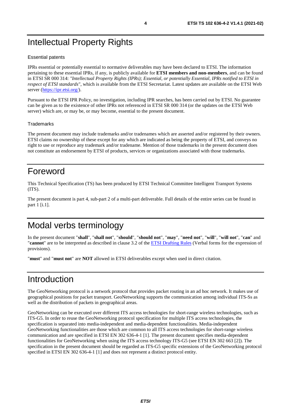## <span id="page-3-0"></span>Intellectual Property Rights

#### Essential patents

IPRs essential or potentially essential to normative deliverables may have been declared to ETSI. The information pertaining to these essential IPRs, if any, is publicly available for **ETSI members and non-members**, and can be found in ETSI SR 000 314: *"Intellectual Property Rights (IPRs); Essential, or potentially Essential, IPRs notified to ETSI in respect of ETSI standards"*, which is available from the ETSI Secretariat. Latest updates are available on the ETSI Web server ([https://ipr.etsi.org/\)](https://ipr.etsi.org/).

Pursuant to the ETSI IPR Policy, no investigation, including IPR searches, has been carried out by ETSI. No guarantee can be given as to the existence of other IPRs not referenced in ETSI SR 000 314 (or the updates on the ETSI Web server) which are, or may be, or may become, essential to the present document.

#### **Trademarks**

The present document may include trademarks and/or tradenames which are asserted and/or registered by their owners. ETSI claims no ownership of these except for any which are indicated as being the property of ETSI, and conveys no right to use or reproduce any trademark and/or tradename. Mention of those trademarks in the present document does not constitute an endorsement by ETSI of products, services or organizations associated with those trademarks.

## Foreword

This Technical Specification (TS) has been produced by ETSI Technical Committee Intelligent Transport Systems (ITS).

The present document is part 4, sub-part 2 of a multi-part deliverable. Full details of the entire series can be found in part 1 [\[i.1\]](#page-4-0).

## Modal verbs terminology

In the present document "**shall**", "**shall not**", "**should**", "**should not**", "**may**", "**need not**", "**will**", "**will not**", "**can**" and "**cannot**" are to be interpreted as described in clause 3.2 of the [ETSI Drafting Rules](https://portal.etsi.org/Services/editHelp!/Howtostart/ETSIDraftingRules.aspx) (Verbal forms for the expression of provisions).

"**must**" and "**must not**" are **NOT** allowed in ETSI deliverables except when used in direct citation.

## Introduction

The GeoNetworking protocol is a network protocol that provides packet routing in an ad hoc network. It makes use of geographical positions for packet transport. GeoNetworking supports the communication among individual ITS-Ss as well as the distribution of packets in geographical areas.

GeoNetworking can be executed over different ITS access technologies for short-range wireless technologies, such as ITS-G5. In order to reuse the GeoNetworking protocol specification for multiple ITS access technologies, the specification is separated into media-independent and media-dependent functionalities. Media-independent GeoNetworking functionalities are those which are common to all ITS access technologies for short-range wireless communication and are specified in ETSI EN 302 636-4-1 [\[1](#page-4-0)]. The present document specifies media-dependent functionalities for GeoNetworking when using the ITS access technology ITS-G5 (see ETSI EN 302 663 [\[2](#page-4-0)]). The specification in the present document should be regarded as ITS-G5 specific extensions of the GeoNetworking protocol specified in ETSI EN 302 636-4-1 [[1\]](#page-4-0) and does not represent a distinct protocol entity.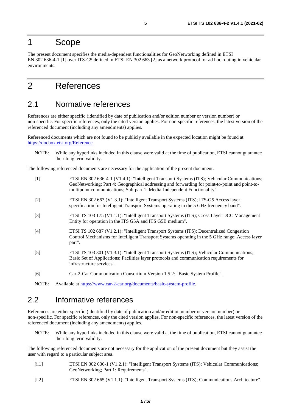### <span id="page-4-0"></span>1 Scope

The present document specifies the media-dependent functionalities for GeoNetworking defined in ETSI EN 302 636-4-1 [1] over ITS-G5 defined in ETSI EN 302 663 [2] as a network protocol for ad hoc routing in vehicular environments.

## 2 References

### 2.1 Normative references

References are either specific (identified by date of publication and/or edition number or version number) or non-specific. For specific references, only the cited version applies. For non-specific references, the latest version of the referenced document (including any amendments) applies.

Referenced documents which are not found to be publicly available in the expected location might be found at <https://docbox.etsi.org/Reference>.

NOTE: While any hyperlinks included in this clause were valid at the time of publication, ETSI cannot guarantee their long term validity.

The following referenced documents are necessary for the application of the present document.

| $\lceil 1 \rceil$ | ETSI EN 302 636-4-1 (V1.4.1): "Intelligent Transport Systems (ITS); Vehicular Communications;<br>GeoNetworking; Part 4: Geographical addressing and forwarding for point-to-point and point-to-<br>multipoint communications; Sub-part 1: Media-Independent Functionality". |
|-------------------|-----------------------------------------------------------------------------------------------------------------------------------------------------------------------------------------------------------------------------------------------------------------------------|
| $[2]$             | ETSI EN 302 663 (V1.3.1): "Intelligent Transport Systems (ITS); ITS-G5 Access layer<br>specification for Intelligent Transport Systems operating in the 5 GHz frequency band".                                                                                              |
| $[3]$             | ETSI TS 103 175 (V1.1.1): "Intelligent Transport Systems (ITS); Cross Layer DCC Management<br>Entity for operation in the ITS G5A and ITS G5B medium".                                                                                                                      |
| $[4]$             | ETSI TS 102 687 (V1.2.1): "Intelligent Transport Systems (ITS); Decentralized Congestion<br>Control Mechanisms for Intelligent Transport Systems operating in the 5 GHz range; Access layer<br>part".                                                                       |
| $[5]$             | ETSI TS 103 301 (V1.3.1): "Intelligent Transport Systems (ITS); Vehicular Communications;<br>Basic Set of Applications; Facilities layer protocols and communication requirements for<br>infrastructure services".                                                          |
| [6]               | Car-2-Car Communication Consortium Version 1.5.2: "Basic System Profile".                                                                                                                                                                                                   |
| $\sqrt{2}$        |                                                                                                                                                                                                                                                                             |

NOTE: Available at [https://www.car-2-car.org/documents/basic-system-profile.](https://www.car-2-car.org/documents/basic-system-profile)

### 2.2 Informative references

References are either specific (identified by date of publication and/or edition number or version number) or non-specific. For specific references, only the cited version applies. For non-specific references, the latest version of the referenced document (including any amendments) applies.

NOTE: While any hyperlinks included in this clause were valid at the time of publication, ETSI cannot guarantee their long term validity.

The following referenced documents are not necessary for the application of the present document but they assist the user with regard to a particular subject area.

- [i.1] ETSI EN 302 636-1 (V1.2.1): "Intelligent Transport Systems (ITS); Vehicular Communications; GeoNetworking; Part 1: Requirements".
- [i.2] ETSI EN 302 665 (V1.1.1): "Intelligent Transport Systems (ITS); Communications Architecture".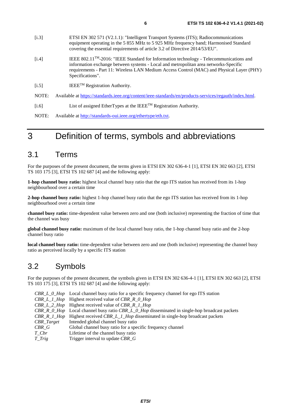- <span id="page-5-0"></span>[i.3] ETSI EN 302 571 (V2.1.1): "Intelligent Transport Systems (ITS); Radiocommunications equipment operating in the 5 855 MHz to 5 925 MHz frequency band; Harmonised Standard covering the essential requirements of article 3.2 of Directive 2014/53/EU". [i.4] IEEE 802.11TM-2016: "IEEE Standard for Information technology - Telecommunications and information exchange between systems - Local and metropolitan area networks-Specific requirements - Part 11: Wireless LAN Medium Access Control (MAC) and Physical Layer (PHY) Specifications".
- $[i.5]$  IEEE<sup>TM</sup> Registration Authority.
- NOTE: Available at<https://standards.ieee.org/content/ieee-standards/en/products-services/regauth/index.html>.
- $[i.6]$  List of assigned EtherTypes at the IEEE<sup>TM</sup> Registration Authority.
- NOTE: Available at<http://standards-oui.ieee.org/ethertype/eth.txt>.

### 3 Definition of terms, symbols and abbreviations

#### 3.1 Terms

For the purposes of the present document, the terms given in ETSI EN 302 636-4-1 [\[1](#page-4-0)], ETSI EN 302 663 [\[2](#page-4-0)], ETSI TS 103 175 [\[3](#page-4-0)], ETSI TS 102 687 [\[4](#page-4-0)] and the following apply:

**1-hop channel busy ratio:** highest local channel busy ratio that the ego ITS station has received from its 1-hop neighbourhood over a certain time

**2-hop channel busy ratio:** highest 1-hop channel busy ratio that the ego ITS station has received from its 1-hop neighbourhood over a certain time

**channel busy ratio:** time-dependent value between zero and one (both inclusive) representing the fraction of time that the channel was busy

**global channel busy ratio:** maximum of the local channel busy ratio, the 1-hop channel busy ratio and the 2-hop channel busy ratio

**local channel busy ratio:** time-dependent value between zero and one (both inclusive) representing the channel busy ratio as perceived locally by a specific ITS station

### 3.2 Symbols

For the purposes of the present document, the symbols given in ETSI EN 302 636-4-1 [\[1](#page-4-0)], ETSI EN 302 663 [\[2](#page-4-0)], ETSI TS 103 175 [\[3](#page-4-0)], ETSI TS 102 687 [\[4](#page-4-0)] and the following apply:

|                  | CBR_L_0_Hop Local channel busy ratio for a specific frequency channel for ego ITS station     |
|------------------|-----------------------------------------------------------------------------------------------|
|                  | $CBR\_L\_1\_Hop$ Highest received value of $CBR\_R\_0\_Hop$                                   |
|                  | <b>CBR</b> L 2 Hop Highest received value of CBR R 1 Hop                                      |
|                  | CBR_R_0_Hop Local channel busy ratio CBR_L_0_Hop disseminated in single-hop broadcast packets |
|                  | CBR_R_1_Hop Highest received CBR_L_1_Hop disseminated in single-hop broadcast packets         |
| $CBR\_Target$    | Intended global channel busy ratio                                                            |
| CBR G            | Global channel busy ratio for a specific frequency channel                                    |
| T Cbr            | Lifetime of the channel busy ratio                                                            |
| $T_{\perp}$ Trig | Trigger interval to update CBR G                                                              |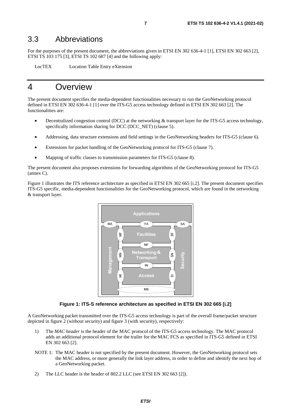#### <span id="page-6-0"></span>3.3 Abbreviations

For the purposes of the present document, the abbreviations given in ETSI EN 302 636-4-1 [[1\]](#page-4-0), ETSI EN 30[2](#page-4-0) 663 [2], ETSI TS 103 175 [[3\]](#page-4-0), ETSI TS 102 687 [\[4](#page-4-0)] and the following apply:

LocTEX Location Table Entry eXtension

### 4 Overview

The present document specifies the media-dependent functionalities necessary to run the GeoNetworking protocol defined in ETSI EN 302 636-4-1 [\[1\]](#page-4-0) over the ITS-G5 access technology defined in ETSI EN 302 663 [\[2](#page-4-0)]. The functionalities are:

- Decentralized congestion control (DCC) at the networking & transport layer for the ITS-G5 access technology, specifically information sharing for DCC (DCC\_NET) (clause [5](#page-7-0)).
- Addressing, data structure extensions and field settings in the GeoNetworking headers for ITS-G5 (clause [6](#page-10-0)).
- Extensions for packet handling of the GeoNetworking protocol for ITS-G5 (clause [7\)](#page-13-0).
- Mapping of traffic classes to transmission parameters for ITS-G5 (clause [8\)](#page-14-0).

The present document also proposes extensions for forwarding algorithms of the GeoNetworking protocol for ITS-G5 (annex [C\)](#page-17-0).

Figure 1 illustrates the ITS reference architecture as specified in ETSI EN 302 665 [\[i.2](#page-4-0)]. The present document specifies ITS-G5 specific, media-dependent functionalities for the GeoNetworking protocol, which are found in the networking & transport layer.



**Figure 1: ITS-S reference architecture as specified in ETSI EN 302 665 [\[i.2\]](#page-4-0)** 

A GeoNetworking packet transmitted over the ITS-G5 access technology is part of the overall frame/packet structure depicted in figure [2](#page-7-0) (without security) and figure [3](#page-7-0) (with security), respectively:

- 1) The *MAC header* is the header of the MAC protocol of the ITS-G5 access technology. The MAC protocol adds an additional protocol element for the trailer for the MAC FCS as specified in ITS-G5 defined in ETSI EN 302 663 [\[2\]](#page-4-0).
- NOTE 1: The MAC header is not specified by the present document. However, the GeoNetworking protocol sets the MAC address, or more generally the link layer address, in order to define and identify the next hop of a GeoNetworking packet.
- 2) The LLC header is the header of 802.2 LLC (see ETSI EN 302 663 [[2](#page-4-0)]).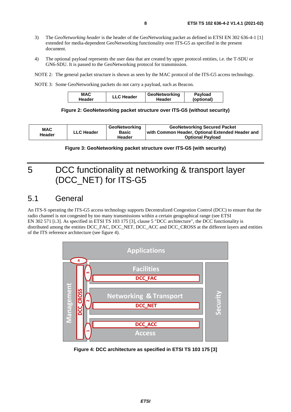- <span id="page-7-0"></span>3) The *GeoNetworking header* is the header of the GeoNetworking packet as defined in ETSI EN 302 636-4-1 [[1\]](#page-4-0) extended for media-dependent GeoNetworking functionality over ITS-G5 as specified in the present document.
- 4) The optional payload represents the user data that are created by upper protocol entities, i.e. the T-SDU or GN6-SDU. It is passed to the GeoNetworking protocol for transmission.
- NOTE 2: The general packet structure is shown as seen by the MAC protocol of the ITS-G5 access technology.
- NOTE 3: Some GeoNetworking packets do not carry a payload, such as Beacon.

| MAC    | <b>LLC Header</b> | GeoNetworking | Payload    |
|--------|-------------------|---------------|------------|
| Header |                   | Header        | (optional) |

#### **Figure 2: GeoNetworking packet structure over ITS-G5 (without security)**

| <b>MAC</b> |            | <b>GeoNetworking</b> | <b>GeoNetworking Secured Packet</b>              |  |  |  |
|------------|------------|----------------------|--------------------------------------------------|--|--|--|
| Header     | LLC Header | Basic                | with Common Header, Optional Extended Header and |  |  |  |
|            |            | Header               | <b>Optional Payload</b>                          |  |  |  |

#### **Figure 3: GeoNetworking packet structure over ITS-G5 (with security)**

## 5 DCC functionality at networking & transport layer (DCC\_NET) for ITS-G5

### 5.1 General

An ITS-S operating the ITS-G5 access technology supports Decentralized Congestion Control (DCC) to ensure that the radio channel is not congested by too many transmissions within a certain geographical range (see ETSI EN 302 571 [[i.3](#page-5-0)]. As specified in ETSI TS 103 175 [[3\]](#page-4-0), clause 5 "DCC architecture", the DCC functionality is distributed among the entities DCC\_FAC, DCC\_NET, DCC\_ACC and DCC\_CROSS at the different layers and entities of the ITS reference architecture (see figure 4).



**Figure 4: DCC architecture as specified in ETSI TS 103 175 [[3\]](#page-4-0)**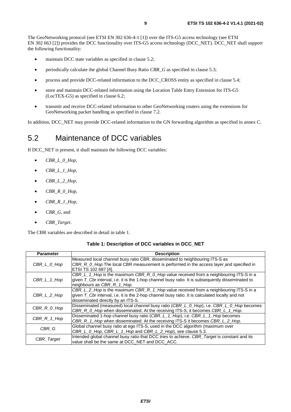<span id="page-8-0"></span>The GeoNetworking protocol (see ETSI EN 302 636-4-1 [\[1](#page-4-0)]) over the ITS-G5 access technology (see ETSI EN 302 663 [[2\]](#page-4-0)) provides the DCC functionality over ITS-G5 access technology (DCC\_NET). DCC\_NET shall support the following functionality:

- maintain DCC state variables as specified in clause 5.2;
- periodically calculate the global Channel Busy Ratio *CBR\_G* as specified in clause [5.3](#page-9-0);
- process and provide DCC-related information to the DCC\_CROSS entity as specified in clause [5.4;](#page-9-0)
- store and maintain DCC-related information using the Location Table Entry Extension for ITS-G5 (LocTEX-G5) as specified in clause [6.2;](#page-10-0)
- transmit and receive DCC-related information to other GeoNetworking routers using the extensions for GeoNetworking packet handling as specified in clause [7.2](#page-13-0).

In addition, DCC\_NET may provide DCC-related information to the GN forwarding algorithm as specified in annex [C](#page-17-0).

### 5.2 Maintenance of DCC variables

If DCC\_NET is present, it shall maintain the following DCC variables:

- $\bullet$  *CBR\_L\_0\_Hop*,
- *CBR\_L\_1\_Hop*,
- *CBR*  $L$  2 Hop,
- *CBR\_R\_0\_Hop*,
- *CBR\_R\_1\_Hop*,
- *CBR\_G*, and
- *CBR\_Target*.

The CBR variables are described in detail in table 1.

| Table 1: Description of DCC variables in DCC_NET |  |
|--------------------------------------------------|--|
|                                                  |  |

| <b>Parameter</b> | <b>Description</b>                                                                                  |
|------------------|-----------------------------------------------------------------------------------------------------|
|                  | Measured local channel busy ratio CBR, disseminated to neighbouring ITS-S as                        |
| CBR L 0 Hop      | CBR_R_0_Hop.The local CBR measurement is performed in the access layer and specified in             |
|                  | ETSI TS 102 687 [4].                                                                                |
|                  | CBR_L_1_Hop is the maximum CBR_R_0_Hop value received from a neighbouring ITS-S in a                |
| CBR_L_1_Hop      | given $T$ Cbr interval, i.e. it is the 1-hop channel busy ratio. It is subsequently disseminated to |
|                  | neighbours as CBR_R_1_Hop.                                                                          |
|                  | CBR_L_2_Hop is the maximum CBR_R_1_Hop value received from a neighbouring ITS-S in a                |
| CBR_L_2_Hop      | given $T$ Cbr interval, i.e. it is the 2-hop channel busy ratio. It is calculated locally and not   |
|                  | disseminated directly by an ITS-S.                                                                  |
| CBR_R_0_Hop      | Disseminated (measured) local channel busy ratio (CBR_L_0_Hop), i.e. CBR_L_0_Hop becomes            |
|                  | CBR R 0 Hop when disseminated. At the receiving ITS-S, it becomes CBR L 1 Hop.                      |
|                  | Disseminated 1-hop channel busy ratio (CBR L 1 Hop), i.e. CBR L 1 Hop becomes                       |
| $CBR_R_1_H$      | CBR_R_1_Hop when disseminated. At the receiving ITS-S it becomes CBR_L_2_Hop.                       |
| CBR G            | Global channel busy ratio at ego ITS-S, used in the DCC algorithm (maximum over                     |
|                  | CBR_L_0_Hop, CBR_L_1_Hop and CBR_L_2_Hop), see clause 5.3.                                          |
|                  | Intended global channel busy ratio that DCC tries to achieve. CBR_Target is constant and its        |
| CBR_Target       | value shall be the same at DCC_NET and DCC_ACC.                                                     |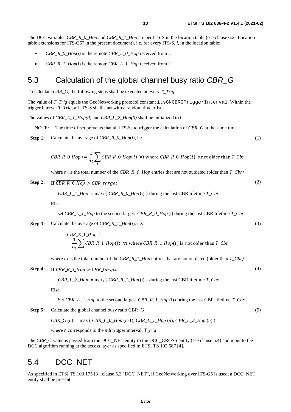<span id="page-9-0"></span>The DCC variables *CBR\_R\_0\_Hop* and *CBR\_R\_1\_Hop* are per ITS-S in the location table (see clause [6.2](#page-10-0) "Location table extensions for ITS-G5" in the present document), i.e. for every ITS-S, *i*, in the location table:

- *CBR\_R\_0\_Hop* $(i)$  is the remote *CBR\_L\_0\_Hop* received from *i*,
- *CBR\_R\_1\_Hop*(*i*) is the remote *CBR\_L\_1\_Hop* received from *i.*

### 5.3 Calculation of the global channel busy ratio *CBR\_G*

To calculate *CBR\_G*, the following steps shall be executed at every *T\_Trig*:

The value of *T\_Trig* equals the GeoNetworking protocol constant [itsGNCBRGTriggerInterval](#page-15-0). Within the trigger interval *T\_Trig*, all ITS-S shall start with a random time offset.

The values of *CBR\_L\_1\_Hop(0)* and *CBR\_L\_2\_Hop(0)* shall be initialized to 0.

NOTE: The time offset prevents that all ITS-Ss to trigger the calculation of *CBR\_G* at the same time.

**Step 1:** Calculate the average of *CBR\_R\_0\_Hop*(*i*), i.e.

$$
\overline{CBR\_R\_0\_Hop} := \frac{1}{n_0} \sum_{i} CBR\_R\_0\_Hop(i) \quad \forall i \text{ where } CBR\_R\_0\_Hop(i) \text{ is not older than } T\_Cbr
$$

where  $n_0$  is the total number of the *CBR\_R\_0\_Hop* entries that are not outdated (older than *T\_Cbr)* 

**Step 2:** к\_к\_v\_пор > c\_bк\_target

*CBR\_L\_1\_Hop* := max<sub>i</sub> {  $CBR_R_0_H$  *CBR\_R\_0\_Hop* (i) } during the last CBR lifetime *T\_Cbr* 

**Else** 

- set *CBR\_L\_1\_Hop* to the second largest *CBR\_R\_0\_Hop* (i) during the last CBR lifetime *T\_Cbr*
- **Step 3:** Calculate the average of *CBR\_R\_1\_Hop*(*i*), i.e.

$$
CBR_R_1_0
$$
  
=  $\frac{1}{n_1} \sum_{i} CBR_R_1_0$  (i)  $\forall i$  where  $CBR_R_1_0$  (i) is not older than  $T_C$  for

where  $n_1$  is the total number of the *CBR\_R\_1\_Hop* entries that are not outdated (older than  $T\_Cbr$ )

**Step 4:** к\_к\_1\_пор > c\_bк\_target

$$
CBR\_L\_2\_Hop := \max_i \{ \text{ }CBR\_R\_1\_Hop \text{ (i)} \} \text{ during the last CBR lifetime } T\_Cbr
$$

**Else** 

Set *CBR\_L\_2\_Hop* to the second largest *CBR\_R\_1\_Hop* (i) during the last CBR lifetime *T\_Cbr* 

**Step 5:** Calculate the global channel busy ratio CBR\_G

*CBR\_G* (*n*) := max ( *CBR\_L\_0\_Hop* (*n*-1), *CBR\_L\_1\_Hop* (*n*), *CBR\_L\_2\_Hop* (*n*) )

where n corresponds to the *n*th trigger interval, *T\_trig*

The *CBR* G value is passed from the DCC\_NET entity to the DCC\_CROSS entity (see clause 5.4) and input to the DCC algorithm running at the access layer as specified in ETSI TS 102 687 [\[4](#page-4-0)].

### 5.4 DCC\_NET

As specified in ETSI TS 103 175 [\[3](#page-4-0)], clause 5.3 "DCC\_NET", if GeoNetworking over ITS-G5 is used, a DCC\_NET entity shall be present.

(5)

(1)

(2)

(3)

(4)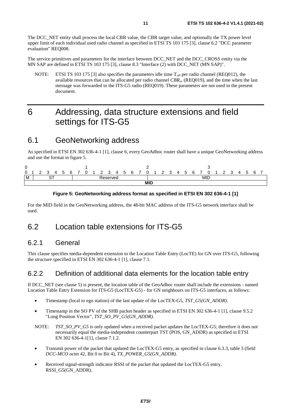<span id="page-10-0"></span>The DCC\_NET entity shall process the local CBR value, the CBR target value, and optionally the TX power level upper limit of each individual used radio channel as specified in ETSI TS 103 175 [\[3](#page-4-0)], clause 6.2 "DCC parameter evaluation" REQ008.

The service primitives and parameters for the interface between DCC\_NET and the DCC\_CROSS entity via the MN SAP are defined in ETSI TS 103 175 [\[3](#page-4-0)], clause 8.3 "Interface (2) with DCC\_NET (MN SAP)".

NOTE: ETSI TS 103 175 [\[3\]](#page-4-0) also specifies the parameters idle time T<sub>off</sub> per radio channel (REQ012), the available resources that can be allocated per radio channel *CBRa*, (REQ019), and the time when the last message was forwarded to the ITS-G5 radio (REQ019). These parameters are not used in the present document.

### 6 Addressing, data structure extensions and field settings for ITS-G5

### 6.1 GeoNetworking address

As specified in ETSI EN 302 636-4-1 [\[1](#page-4-0)], clause 6, every GeoAdhoc router shall have a unique GeoNetworking address and use the format in figure 5.



#### **Figure 5: GeoNetworking address format as specified in ETSI EN 302 636-4-1 [\[1\]](#page-4-0)**

For the MID field in the GeoNetworking address, the 48-bit MAC address of the ITS-G5 network interface shall be used.

### 6.2 Location table extensions for ITS-G5

#### 6.2.1 General

This clause specifies media-dependent extension to the Location Table Entry (LocTE) for GN over ITS-G5, following the structure specified in ETSI EN 302 636-4-1 [\[1](#page-4-0)], clause 7.1.

#### 6.2.2 Definition of additional data elements for the location table entry

If DCC\_NET (see clause [5](#page-7-0)) is present, the location table of the GeoAdhoc router shall include the extensions - named Location Table Entry Extension for ITS-G5 (LocTEX-G5) - for GN neighbours on ITS-G5 interfaces, as follows:

- Timestamp (local to ego station) of the last update of the LocTEX-G5, *TST\_G5(GN\_ADDR)*.
- Timestamp in the SO PV of the SHB packet header as specified in ETSI EN 302 636-4-1 [\[1](#page-4-0)], clause 9.5.2 "Long Position Vector", *TST\_SO\_PV\_G5(GN\_ADDR)*.
- NOTE: *TST\_SO\_PV\_G5* is only updated when a received packet updates the LocTEX-G5; therefore it does not necessarily equal the media-independent counterpart TST (POS, GN\_ADDR) as specified in ETSI EN 302 636-4-1[[1\]](#page-4-0), clause 7.1.2.
- Transmit power of the packet that updated the LocTEX-G5 entry, as specified in clause [6.3.3,](#page-12-0) table [3](#page-13-0) (field *DCC-MCO* octet 42, Bit 0 to Bit 4), *TX\_POWER\_G5(GN\_ADDR)*.
- Received signal-strength indicator RSSI of the packet that updated the LocTEX-G5 entry, RSSI\_G5(GN\_ADDR).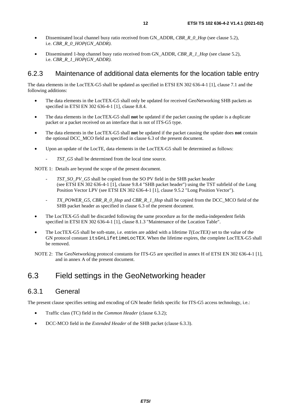- <span id="page-11-0"></span>• Disseminated local channel busy ratio received from GN\_ADDR, *CBR\_R\_0\_Hop* (see clause [5.2\)](#page-8-0)*,* i.e. *CBR\_R\_0\_HOP(GN\_ADDR)*.
- Disseminated 1-hop channel busy ratio received from GN\_ADDR, *CBR\_R\_1\_Hop* (see clause [5.2](#page-8-0)), i.e. *CBR\_R\_1\_HOP(GN\_ADDR).*

#### 6.2.3 Maintenance of additional data elements for the location table entry

The data elements in the LocTEX-G5 shall be updated as specified in ETSI EN 302 636-4-1 [[1](#page-4-0)], clause 7.1 and the following additions:

- The data elements in the LocTEX-G5 shall only be updated for received GeoNetworking SHB packets as specified in ETSI EN 302 636-4-1 [\[1\]](#page-4-0), clause 8.8.4.
- The data elements in the LocTEX-G5 shall **not** be updated if the packet causing the update is a duplicate packet or a packet received on an interface that is not of ITS-G5 type.
- The data elements in the LocTEX-G5 shall **not** be updated if the packet causing the update does **not** contain the optional DCC\_MCO field as specified in clause 6.3 of the present document.
- Upon an update of the LocTE, data elements in the LocTEX-G5 shall be determined as follows:
	- *TST\_G5* shall be determined from the local time source.

NOTE 1: Details are beyond the scope of the present document.

- *TST\_SO\_PV\_G5* shall be copied from the SO PV field in the SHB packet header (see ETSI EN 302 636-4-1 [\[1](#page-4-0)], clause 9.8.4 "SHB packet header") using the TST subfield of the Long Position Vector LPV (see ETSI EN 302 636-4-1 [\[1](#page-4-0)], clause 9.5.2 "Long Position Vector").
- *TX\_POWER\_G5, CBR\_R\_0\_Hop* and *CBR\_R\_1\_Hop* shall be copied from the DCC\_MCO field of the SHB packet header as specified in clause 6.3 of the present document.
- The LocTEX-G5 shall be discarded following the same procedure as for the media-independent fields specified in ETSI EN 302 636-4-1 [\[1\]](#page-4-0), clause 8.1.3 "Maintenance of the Location Table".
- The LocTEX-G5 shall be soft-state, i.e. entries are added with a lifetime *T(LocTEX)* set to the value of the GN protocol constant [itsGnLifetimeLocTEX](#page-15-0). When the lifetime expires, the complete LocTEX-G5 shall be removed.

NOTE 2: The GeoNetworking protocol constants for ITS-G5 are specified in annex H of ETSI EN 302 636-4-1 [\[1](#page-4-0)], and in annex [A](#page-15-0) of the present document.

### 6.3 Field settings in the GeoNetworking header

#### 6.3.1 General

The present clause specifies setting and encoding of GN header fields specific for ITS-G5 access technology, i.e.:

- Traffic class (TC) field in the *Common Header* (clause [6.3.2](#page-12-0));
- DCC-MCO field in the *Extended Header* of the SHB packet (clause [6.3.3](#page-12-0)).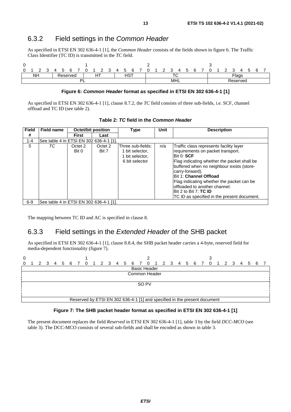#### <span id="page-12-0"></span>6.3.2 Field settings in the *Common Header*

As specified in ETSI EN 302 636-4-1 [\[1](#page-4-0)], the *Common Header* consists of the fields shown in figure 6. The Traffic Class Identifier (TC ID) is transmitted in the *TC* field.

|          | -<br>-    |  |  | ∽ | h<br>∼   |  |   |        | ື          | 4 | ∽ |            |  |  | <u>.</u> |        | д | $\ddot{\phantom{1}}$ | ĥ |  | - | ື | д            |  |  |
|----------|-----------|--|--|---|----------|--|---|--------|------------|---|---|------------|--|--|----------|--------|---|----------------------|---|--|---|---|--------------|--|--|
|          | <b>NH</b> |  |  |   | Reserved |  | _ | $\sim$ |            |   |   | <b>HST</b> |  |  |          | $\tau$ | ╰ |                      |   |  |   |   | <b>Flags</b> |  |  |
| וח<br>−∟ |           |  |  |   |          |  |   |        | <b>MHL</b> |   |   |            |  |  | Reserved |        |   |                      |   |  |   |   |              |  |  |

#### **Figure 6:** *Common Header* **format as specified in ETSI EN 302 636-4-1 [[1](#page-4-0)]**

As specified in ETSI EN 302 636-4-1 [\[1](#page-4-0)], clause 8.7.2, the *TC* field consists of three sub-fields, i.e. SCF, channel offload and TC ID (see table 2).

| <b>Field</b> | Field name                              | <b>Octet/bit position</b> |                  | Type                                                                      | Unit | <b>Description</b>                                                                                                                                                                                                                                                                                                                                                                                 |
|--------------|-----------------------------------------|---------------------------|------------------|---------------------------------------------------------------------------|------|----------------------------------------------------------------------------------------------------------------------------------------------------------------------------------------------------------------------------------------------------------------------------------------------------------------------------------------------------------------------------------------------------|
| #            |                                         | First                     | Last             |                                                                           |      |                                                                                                                                                                                                                                                                                                                                                                                                    |
| $1 - 4$      | See table 4 in ETSI EN 302 636-4-1 [1]  |                           |                  |                                                                           |      |                                                                                                                                                                                                                                                                                                                                                                                                    |
| 5            | ТC                                      | Octet 2<br>Bit 0          | Octet 2<br>Bit 7 | Three sub-fields:<br>1 bit selector,<br>1 bit selector.<br>6 bit selector | n/a  | Traffic class represents facility layer<br>requirements on packet transport.<br>Bit 0: SCF<br>Flag indicating whether the packet shall be<br>buffered when no neighbour exists (store-<br>carry-forward).<br><b>IBit 1: Channel Offload</b><br>Flag indicating whether the packet can be<br>loffloaded to another channel.<br>Bit 2 to Bit 7: TC ID<br>TC ID as specified in the present document. |
| $6-9$        | See table 4 in ETSI EN 302 636-4-1 [1]. |                           |                  |                                                                           |      |                                                                                                                                                                                                                                                                                                                                                                                                    |

**Table 2:** *TC* **field in the** *Common Header*

The mapping between TC ID and AC is specified in clause [8](#page-14-0).

#### 6.3.3 Field settings in the *Extended Header* of the SHB packet

As specified in ETSI EN 302 636-4-1 [\[1](#page-4-0)], clause 8.8.4, the SHB packet header carries a 4-byte, reserved field for media-dependent functionality (figure 7).



#### **Figure 7: The SHB packet header format as specified in ETSI EN 302 636-4-1 [[1](#page-4-0)]**

The present document replaces the field *Reserved* in ETSI EN 302 636-4-1 [[1\]](#page-4-0), table 3 by the field *DCC-MCO* (see table [3](#page-13-0)). The DCC-MCO consists of several sub-fields and shall be encoded as shown in table [3.](#page-13-0)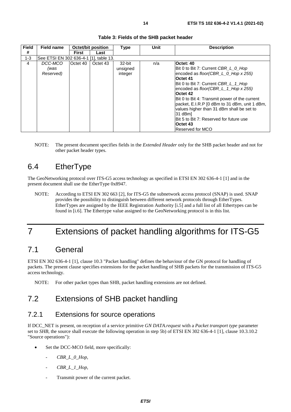<span id="page-13-0"></span>

| <b>Field</b> | Field name                             | <b>Octet/bit position</b> |          | Type                          | Unit | <b>Description</b>                                                                                                                                                                                                                                                                                                                                                                                                                                                |
|--------------|----------------------------------------|---------------------------|----------|-------------------------------|------|-------------------------------------------------------------------------------------------------------------------------------------------------------------------------------------------------------------------------------------------------------------------------------------------------------------------------------------------------------------------------------------------------------------------------------------------------------------------|
| #            |                                        | First                     | Last     |                               |      |                                                                                                                                                                                                                                                                                                                                                                                                                                                                   |
| $1 - 3$      | See ETSI EN 302 636-4-1 [1], table 13. |                           |          |                               |      |                                                                                                                                                                                                                                                                                                                                                                                                                                                                   |
| 4            | DCC-MCO<br>(was<br>Reserved)           | Octet 40                  | Octet 43 | 32-bit<br>unsigned<br>integer | n/a  | <b>Octet: 40</b><br>IBit 0 to Bit 7: Current CBR L 0 Hop<br>encoded as floor(CBR_L_0_Hop x 255)<br>Octet 41<br>Bit 0 to Bit 7: Current CBR_L_1_Hop<br>encoded as floor(CBR_L_1_Hop x 255)<br><b>Octet 42</b><br>Bit 0 to Bit 4: Transmit power of the current<br>packet, E.I.R.P [0 dBm to 31 dBm, unit 1 dBm,<br>values higher than 31 dBm shall be set to<br>31 dBm]<br>IBit 5 to Bit 7: Reserved for future use<br><b>Octet 43</b><br><b>IReserved for MCO</b> |

#### **Table 3: Fields of the SHB packet header**

NOTE: The present document specifies fields in the *Extended Header* only for the SHB packet header and not for other packet header types.

### 6.4 EtherType

The GeoNetworking protocol over ITS-G5 access technology as specified in ETSI EN 302 636-4-1 [\[1\]](#page-4-0) and in the present document shall use the EtherType 0x8947.

NOTE: According to ETSI EN 302 663 [\[2](#page-4-0)], for ITS-G5 the subnetwork access protocol (SNAP) is used. SNAP provides the possibility to distinguish between different network protocols through EtherTypes. EtherTypes are assigned by the IEEE Registration Authority [[i.5](#page-5-0)] and a full list of all Ethertypes can be found in [[i.6\]](#page-5-0). The Ethertype value assigned to the GeoNetworking protocol is in this list.

## 7 Extensions of packet handling algorithms for ITS-G5

### 7.1 General

ETSI EN 302 636-4-1 [\[1\]](#page-4-0), clause 10.3 "Packet handling" defines the behaviour of the GN protocol for handling of packets. The present clause specifies extensions for the packet handling of SHB packets for the transmission of ITS-G5 access technology.

NOTE: For other packet types than SHB, packet handling extensions are not defined.

### 7.2 Extensions of SHB packet handling

#### 7.2.1 Extensions for source operations

If DCC\_NET is present, on reception of a service primitive *GN DATA.request* with a *Packet transport type* parameter set to *SHB,* the source shall execute the following operation in step 5b) of ETSI EN 302 636-4-1 [[1\]](#page-4-0), clause 10.3.10.2 "Source operations"):

- Set the DCC-MCO field, more specifically:
	- *CBR\_L\_0\_Hop,*
	- *CBR\_L\_1\_Hop*,
	- Transmit power of the current packet.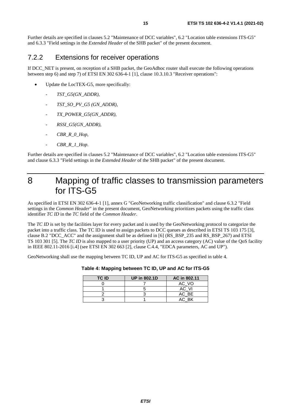<span id="page-14-0"></span>Further details are specified in clauses [5.2](#page-8-0) "Maintenance of DCC variables", [6.2](#page-10-0) "Location table extensions ITS-G5" and [6.3.3](#page-12-0) "Field settings in the *Extended Header* of the SHB packet" of the present document.

#### 7.2.2 Extensions for receiver operations

If DCC\_NET is present, on reception of a SHB packet, the GeoAdhoc router shall execute the following operations between step 6) and step 7) of ETSI EN 302 636-4-1 [[1](#page-4-0)], clause 10.3.10.3 "Receiver operations":

- Update the LocTEX-G5, more specifically:
	- *TST\_G5(GN\_ADDR),*
	- *TST\_SO\_PV\_G5 (GN\_ADDR),*
	- *TX\_POWER\_G5(GN\_ADDR)*,
	- *RSSI\_G5(GN\_ADDR),*
	- CBR\_R\_0\_Hop,
	- *CBR\_R\_1\_Hop*.

Further details are specified in clauses [5.2](#page-8-0) "Maintenance of DCC variables", [6.2](#page-10-0) "Location table extensions ITS-G5" and clause [6.3.3](#page-12-0) "Field settings in the *Extended Header* of the SHB packet" of the present document.

### 8 Mapping of traffic classes to transmission parameters for ITS-G5

As specified in ETSI EN 302 636-4-1 [\[1](#page-4-0)], annex G "GeoNetworking traffic classification" and clause [6.3.2](#page-12-0) "Field settings in the *Common Header*" in the present document, GeoNetworking prioritizes packets using the traffic class identifier *TC ID* in the *TC* field of the *Common Header*.

The *TC ID* is set by the facilities layer for every packet and is used by the GeoNetworking protocol to categorize the packet into a traffic class. The TC ID is used to assign packets to DCC queues as described in ETSI TS 103 175 [[3\]](#page-4-0), clause B.2 "DCC\_ACC" and the assignment shall be as defined in [\[6](#page-4-0)] (RS\_BSP\_235 and RS\_BSP\_267) and ETSI TS 103 301 [\[5](#page-4-0)]. The *TC ID* is also mapped to a user priority (UP) and an access category (AC) value of the QoS facility in IEEE 802.11-2016 [[i.4\]](#page-5-0) (see ETSI EN 302 663 [\[2](#page-4-0)], clause C.4.4, "EDCA parameters, AC and UP").

GeoNetworking shall use the mapping between TC ID, UP and AC for ITS-G5 as specified in table 4.

| <b>TC ID</b> | <b>UP in 802.1D</b> | AC in 802.11 |
|--------------|---------------------|--------------|
|              |                     | AC VO        |
|              |                     | AC VI        |
|              |                     | AC BE        |
|              |                     | AC BK        |

#### **Table 4: Mapping between TC ID, UP and AC for ITS-G5**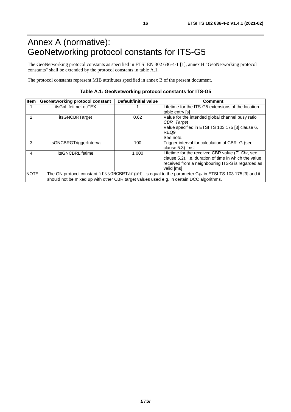## <span id="page-15-0"></span>Annex A (normative): GeoNetworking protocol constants for ITS-G5

The GeoNetworking protocol constants as specified in ETSI EN 302 636-4-1 [\[1](#page-4-0)], annex H "GeoNetworking protocol constants" shall be extended by the protocol constants in table A.1.

The protocol constants represent MIB attributes specified in annex [B](#page-16-0) of the present document.

#### **Table A.1: GeoNetworking protocol constants for ITS-G5**

| Item          | <b>GeoNetworking protocol constant</b>                                                   | Default/initial value | <b>Comment</b>                                                                                         |
|---------------|------------------------------------------------------------------------------------------|-----------------------|--------------------------------------------------------------------------------------------------------|
|               | itsGnLifetimeLocTEX                                                                      |                       | Lifetime for the ITS-G5 extensions of the location                                                     |
|               |                                                                                          |                       | table entry [s]                                                                                        |
| $\mathcal{P}$ | itsGNCBRTarget                                                                           | 0.62                  | Value for the intended global channel busy ratio                                                       |
|               |                                                                                          |                       | <b>CBR</b> Target                                                                                      |
|               |                                                                                          |                       | Value specified in ETSI TS 103 175 [3] clause 6,                                                       |
|               |                                                                                          |                       | REQ9                                                                                                   |
|               |                                                                                          |                       | See note.                                                                                              |
| 3             | itsGNCBRGTriggerInterval                                                                 | 100                   | Trigger interval for calculation of CBR_G (see                                                         |
|               |                                                                                          |                       | clause 5.3) [ms]                                                                                       |
| 4             | itsGNCBRLifetime                                                                         | 1 000                 | Lifetime for the received CBR value $(T_{\neg}Cbr,$ see                                                |
|               |                                                                                          |                       | clause 5.2), i.e. duration of time in which the value                                                  |
|               |                                                                                          |                       | received from a neighbouring ITS-S is regarded as                                                      |
|               |                                                                                          |                       | valid [ms]                                                                                             |
| NOTE:         |                                                                                          |                       | The GN protocol constant itssGNCBRTarget is equal to the parameter $CTH$ in ETSI TS 103 175 [3] and it |
|               | should not be mixed up with other CBR target values used e.g. in certain DCC algorithms. |                       |                                                                                                        |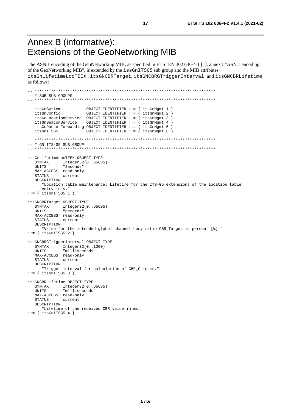## <span id="page-16-0"></span>Annex B (informative): Extensions of the GeoNetworking MIB

The ASN.1 encoding of the GeoNetworking MIB, as specified in ETSI EN 302 636-4-1 [\[1](#page-4-0)], annex I "ASN.1 encoding of the GeoNetworking MIB", is extended by the issGnITSG5 sub group and the MIB attributes itsGnLifetimeLocTEEX , itsGNCBRTarget, itsGNCBRGTriggerInterval and itsGNCBRLifetime as follows:

```
-- ***************************************************************************** 
-- * SUB SUB GROUPS 
-- ***************************************************************************** 
   itsGnSystem OBJECT IDENTIFIER ::= { itsGnMgmt 1 } 
 itsGnConfig OBJECT IDENTIFIER ::= { itsGnMgmt 2 } 
 itsGnLocationService OBJECT IDENTIFIER ::= { itsGnMgmt 3 } 
 itsGnBeaconService OBJECT IDENTIFIER ::= { itsGnMgmt 4 } 
 itsGnPacketForwarding OBJECT IDENTIFIER ::= { itsGnMgmt 5 } 
 itsGnITSG5 OBJECT IDENTIFIER ::= { itsGnMgmt 6 } 
-- ***************************************************************************** 
-- * GN ITS-G5 SUB GROUP<br>-- ***********************
                          -- ***************************************************************************** 
itsGnLifetimeLocTEEX OBJECT-TYPE 
    SYNTAX Integer32(0..65635) 
   UNITS "Seconds" 
   MAX-ACCESS read-only 
    STATUS current 
   DESCRIPTION 
       "Location table maintenance: Lifetime for the ITS-G5 extensions of the location table 
       entry in s." 
::= { itsGnITSG5 1 }
itsGNCBRTarget OBJECT-TYPE 
    SYNTAX Integer32(0..65635) 
    UNITS "percent" 
   MAX-ACCESS read-only 
    STATUS current 
   DESCRIPTION 
       "Value for the intended global channel busy ratio CBR_Target in percent [%]." 
::= { itsGnITSG5 2 } 
itsGNCBRGTriggerInterval OBJECT-TYPE 
  SYNTAX Integer32(0..1000)
   UNITS "milliseconds" 
   MAX-ACCESS read-only 
   STATUS current 
   DESCRIPTION 
       "Trigger interval for calculation of CBR_G in ms." 
::= { itsGnITSG5 3 } 
itsGNCBRLifetime OBJECT-TYPE 
  SYNTAX Integer32(0..65635)<br>INITS "milliseconds"
               "milliseconds"
  MAX-ACCESS read-only<br>STATUS current
              current
   DESCRIPTION 
       "Lifetime of the received CBR value in ms." 
::= { itsGnITSG5 4 }
```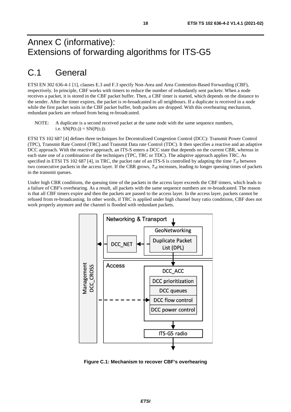## <span id="page-17-0"></span>Annex C (informative): Extensions of forwarding algorithms for ITS-G5

## C.1 General

ETSI EN 302 636-4-1 [\[1\]](#page-4-0), clauses E.3 and F.3 specify Non-Area and Area Contention-Based Forwarding (CBF), respectively. In principle, CBF works with timers to reduce the number of redundantly sent packets: When a node receives a packet, it is stored in the CBF packet buffer. Then, a CBF timer is started, which depends on the distance to the sender. After the timer expires, the packet is re-broadcasted to all neighbours. If a duplicate is received in a node while the first packet waits in the CBF packet buffer, both packets are dropped. With this overhearing mechanism, redundant packets are refused from being re-broadcasted.

NOTE: A duplicate is a second received packet at the same node with the same sequence numbers, i.e.  $SN(P(t_1)) = SN(P(t_2))$ .

ETSI TS 102 687 [[4\]](#page-4-0) defines three techniques for Decentralized Congestion Control (DCC): Transmit Power Control (TPC), Transmit Rate Control (TRC) and Transmit Data rate Control (TDC). It then specifies a reactive and an adaptive DCC approach. With the reactive approach, an ITS-S enters a DCC state that depends on the current CBR, whereas in each state one of a combination of the techniques (TPC, TRC or TDC). The adaptive approach applies TRC. As specified in ETSI TS 102 687 [[4\]](#page-4-0), in TRC, the packet rate of an ITS-S is controlled by adapting the time  $T_{of}$  between two consecutive packets in the access layer. If the CBR grows,  $T_{\text{off}}$  increases, leading to longer queuing times of packets in the transmit queues.

Under high CBR conditions, the queuing time of the packets in the access layer exceeds the CBF timers, which leads to a failure of CBF's overhearing. As a result, all packets with the same sequence numbers are re-broadcasted. The reason is that all CBF timers expire and then the packets are passed to the access layer. In the access layer, packets cannot be refused from re-broadcasting. In other words, if TRC is applied under high channel busy ratio conditions, CBF does not work properly anymore and the channel is flooded with redundant packets.



**Figure C.1: Mechanism to recover CBF's overhearing**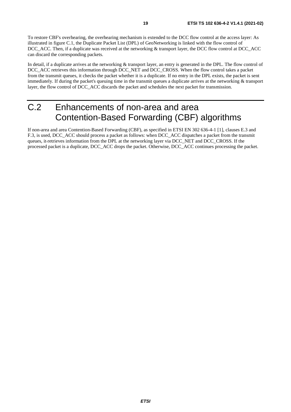<span id="page-18-0"></span>To restore CBF's overhearing, the overhearing mechanism is extended to the DCC flow control at the access layer: As illustrated in figure [C.1,](#page-17-0) the Duplicate Packet List (DPL) of GeoNetworking is linked with the flow control of DCC\_ACC. Then, if a duplicate was received at the networking & transport layer, the DCC flow control at DCC\_ACC can discard the corresponding packets.

In detail, if a duplicate arrives at the networking & transport layer, an entry is generated in the DPL. The flow control of DCC\_ACC retrieves this information through DCC\_NET and DCC\_CROSS. When the flow control takes a packet from the transmit queues, it checks the packet whether it is a duplicate. If no entry in the DPL exists, the packet is sent immediately. If during the packet's queuing time in the transmit queues a duplicate arrives at the networking & transport layer, the flow control of DCC\_ACC discards the packet and schedules the next packet for transmission.

## C.2 Enhancements of non-area and area Contention-Based Forwarding (CBF) algorithms

If non-area and area Contention-Based Forwarding (CBF), as specified in ETSI EN 302 636-4-1 [[1\]](#page-4-0), clauses E.3 and F.3, is used, DCC\_ACC should process a packet as follows: when DCC\_ACC dispatches a packet from the transmit queues, it retrieves information from the DPL at the networking layer via DCC\_NET and DCC\_CROSS. If the processed packet is a duplicate, DCC\_ACC drops the packet. Otherwise, DCC\_ACC continues processing the packet.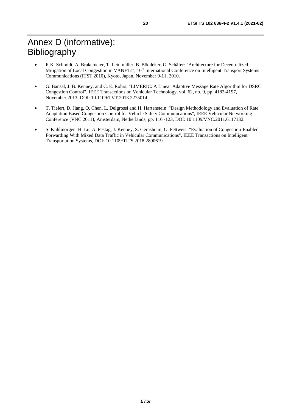- <span id="page-19-0"></span>• R.K. Schmidt, A. Brakemeier, T. Leinmüller, B. Böddeker, G. Schäfer: "Architecture for Decentralized Mitigation of Local Congestion in VANETs", 10<sup>th</sup> International Conference on Intelligent Transport Systems Communications (ITST 2010), Kyoto, Japan, November 9-11, 2010.
- G. Bansal, J. B. Kenney, and C. E. Rohrs: "LIMERIC: A Linear Adaptive Message Rate Algorithm for DSRC Congestion Control", IEEE Transactions on Vehicular Technology, vol. 62, no. 9, pp. 4182-4197, November 2013, DOI: 10.1109/TVT.2013.2275014.
- T. Tielert, D. Jiang, Q. Chen, L. Delgrossi and H. Hartenstein: "Design Methodology and Evaluation of Rate Adaptation Based Congestion Control for Vehicle Safety Communications", IEEE Vehicular Networking Conference (VNC 2011), Amsterdam, Netherlands, pp. 116 -123, DOI: 10.1109/VNC.2011.6117132.
- S. Kühlmorgen, H. Lu, A. Festag, J. Kenney, S. Gemsheim, G. Fettweis: "Evaluation of Congestion-Enabled Forwarding With Mixed Data Traffic in Vehicular Communications", IEEE Transactions on Intelligent Transportation Systems, DOI: 10.1109/TITS.2018.2890619.